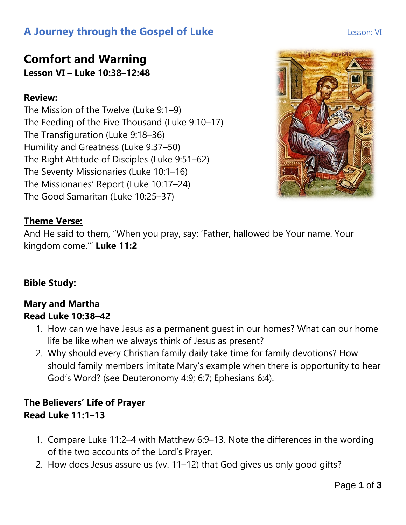# **A Journey through the Gospel of Luke Lesson: VI** Lesson: VI

### **Comfort and Warning Lesson VI – Luke 10:38–12:48**

#### **Review:**

The Mission of the Twelve (Luke 9:1–9) The Feeding of the Five Thousand (Luke 9:10–17) The Transfiguration (Luke 9:18–36) Humility and Greatness (Luke 9:37–50) The Right Attitude of Disciples (Luke 9:51–62) The Seventy Missionaries (Luke 10:1–16) The Missionaries' Report (Luke 10:17–24) The Good Samaritan (Luke 10:25–37)



#### **Theme Verse:**

And He said to them, "When you pray, say: 'Father, hallowed be Your name. Your kingdom come.'" **Luke 11:2**

#### **Bible Study:**

#### **Mary and Martha Read Luke 10:38–42**

- 1. How can we have Jesus as a permanent guest in our homes? What can our home life be like when we always think of Jesus as present?
- 2. Why should every Christian family daily take time for family devotions? How should family members imitate Mary's example when there is opportunity to hear God's Word? (see Deuteronomy 4:9; 6:7; Ephesians 6:4).

### **The Believers' Life of Prayer Read Luke 11:1–13**

- 1. Compare Luke 11:2–4 with Matthew 6:9–13. Note the differences in the wording of the two accounts of the Lord's Prayer.
- 2. How does Jesus assure us (vv. 11–12) that God gives us only good gifts?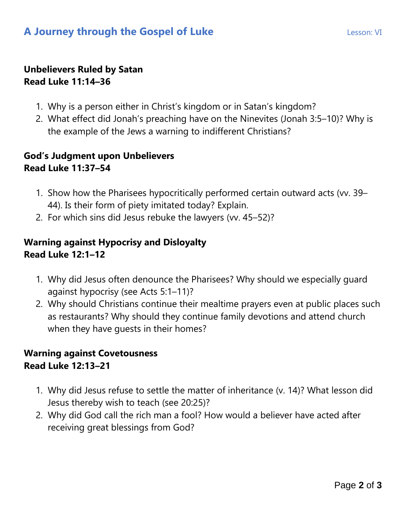#### **Unbelievers Ruled by Satan Read Luke 11:14–36**

- 1. Why is a person either in Christ's kingdom or in Satan's kingdom?
- 2. What effect did Jonah's preaching have on the Ninevites (Jonah 3:5–10)? Why is the example of the Jews a warning to indifferent Christians?

#### **God's Judgment upon Unbelievers Read Luke 11:37–54**

- 1. Show how the Pharisees hypocritically performed certain outward acts (vv. 39– 44). Is their form of piety imitated today? Explain.
- 2. For which sins did Jesus rebuke the lawyers (vv. 45–52)?

#### **Warning against Hypocrisy and Disloyalty Read Luke 12:1–12**

- 1. Why did Jesus often denounce the Pharisees? Why should we especially guard against hypocrisy (see Acts 5:1–11)?
- 2. Why should Christians continue their mealtime prayers even at public places such as restaurants? Why should they continue family devotions and attend church when they have guests in their homes?

#### **Warning against Covetousness Read Luke 12:13–21**

- 1. Why did Jesus refuse to settle the matter of inheritance (v. 14)? What lesson did Jesus thereby wish to teach (see 20:25)?
- 2. Why did God call the rich man a fool? How would a believer have acted after receiving great blessings from God?